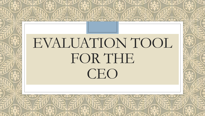# EVALUATION TOOL FOR THE CEO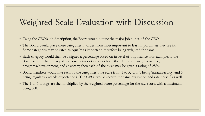#### Weighted-Scale Evaluation with Discussion

- Using the CEO's job description, the Board would outline the major job duties of the CEO.
- The Board would place these categories in order from most important to least important as they see fit. Some categories may be rated as equally as important, therefore being weighted the same.
- Each category would then be assigned a percentage based on its level of importance. For example, if the Board sees fit that the top three equally important aspects of the CEO's job are governance, programs/development, and advocacy, then each of the three may be given a rating of 25%.
- Board members would rate each of the categories on a scale from 1 to 5, with 1 being 'unsatisfactory' and 5 being 'regularly exceeds expectations.' The CEO would receive the same evaluation and rate herself as well.
- The 1-to-5 ratings are then multiplied by the weighted-score percentage for the raw score, with a maximum being 500.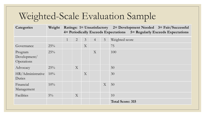## Weighted-Scale Evaluation Sample

| <b>Categories</b>                     | Weight |              |                |                |                |                | Ratings: 1= Unsatisfactory 2= Development Needed 3= Fair/Successful<br>4 Periodically Exceeds Expectations 5 = Regularly Exceeds Expectations |
|---------------------------------------|--------|--------------|----------------|----------------|----------------|----------------|-----------------------------------------------------------------------------------------------------------------------------------------------|
|                                       |        | $\mathbf{1}$ | $\overline{2}$ | $\overline{3}$ | $\overline{4}$ | 5 <sup>5</sup> | Weighted score                                                                                                                                |
| Governance                            | 25%    |              |                | X              |                |                | 75                                                                                                                                            |
| Program<br>Development/<br>Operations | $25\%$ |              |                |                | X              |                | 100                                                                                                                                           |
| Advocacy                              | 25%    |              | X              |                |                |                | 50                                                                                                                                            |
| HR/Administrative<br>Duties           | $10\%$ |              |                | X              |                |                | 30                                                                                                                                            |
| Financial<br>Management               | $10\%$ |              |                |                |                | X              | 50                                                                                                                                            |
| Facilities                            | $5\%$  |              | X              |                |                |                | 10                                                                                                                                            |
|                                       |        |              |                |                |                |                | <b>Total Score: 315</b>                                                                                                                       |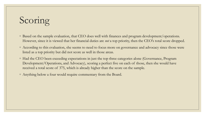## Scoring

- Based on the sample evaluation, that CEO does well with finances and program development/operations. However, since it is viewed that her financial duties are *not* a top priority, then the CEO's total score dropped.
- According to this evaluation, she seems to need to focus more on governance and advocacy since those were listed as a top priority but did not score as well in those areas.
- Had the CEO been exceeding expectations in just the top three categories alone (Governance, Program Development/Operations, and Advocacy), scoring a perfect five on each of those, then she would have received a total score of 375, which is already higher than the score on the sample.
- Anything below a four would require commentary from the Board.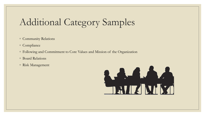## Additional Category Samples

- Community Relations
- Compliance
- Following and Commitment to Core Values and Mission of the Organization
- Board Relations
- Risk Management

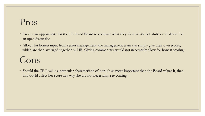#### Pros

- Creates an opportunity for the CEO and Board to compare what they view as vital job duties and allows for an open discussion.
- Allows for honest input from senior management; the management team can simply give their own scores, which are then averaged together by HR. Giving commentary would not necessarily allow for honest scoring.

## Cons

◦ Should the CEO value a particular characteristic of her job as more important than the Board values it, then this would affect her score in a way she did not necessarily see coming.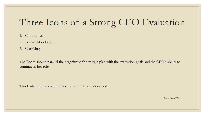## Three Icons of a Strong CEO Evaluation

- 1. Continuous
- 2. Forward-Looking
- 3. Clarifying

The Board should parallel the organization's strategic plan with the evaluation goals and the CEO's ability to continue in her role.

This leads to the second portion of a CEO evaluation tool…

Source: BoardEffect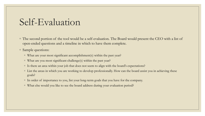#### Self-Evaluation

◦ The second portion of the tool would be a self-evaluation. The Board would present the CEO with a list of open-ended questions and a timeline in which to have them complete.

◦ Sample questions:

- What are your most significant accomplishment(s) within the past year?
- What are you most significant challenge(s) within the past year?
- Is there an area within your job that does not seem to align with the board's expectations?
- List the areas in which you are working to develop professionally. How can the board assist you in achieving these goals?
- In order of importance to you, list your long-term goals that you have for the company.
- What else would you like to see the board address during your evaluation period?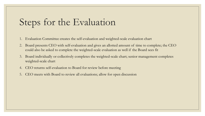## Steps for the Evaluation

- 1. Evaluation Committee creates the self-evaluation and weighted-scale evaluation chart
- 2. Board presents CEO with self-evaluation and gives an allotted amount of time to complete; the CEO could also be asked to complete the weighted-scale evaluation as well if the Board sees fit
- 3. Board individually or collectively completes the weighted-scale chart; senior management completes weighted-scale chart
- 4. CEO returns self-evaluation to Board for review before meeting
- 5. CEO meets with Board to review all evaluations; allow for open discussion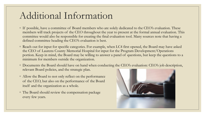#### Additional Information

- If possible, have a committee of Board members who are solely dedicated to the CEO's evaluation. These members will track projects of the CEO throughout the year to present at the formal annual evaluation. This committee would also be responsible for creating the final evaluation tool. Many sources note that having a defined committee heading the CEO's evaluation is best.
- Reach out for input for specific categories. For example, when LC4 first opened, the Board may have asked the CEO of Laurens County Memorial Hospital for input for the Program Development/Operations portion. Keep in mind, the Board may be willing to answer a panel of questions, but keep the questions to a minimum for members outside the organization.
- Documents the Board should have on hand when conducting the CEO's evaluation: CEO's job description, relevant Board policies, and the strategic plan.
- Allow the Board to not only reflect on the performance of the CEO, but also on the performance of the Board itself and the organization as a whole.
- The Board should review the compensation package every few years.